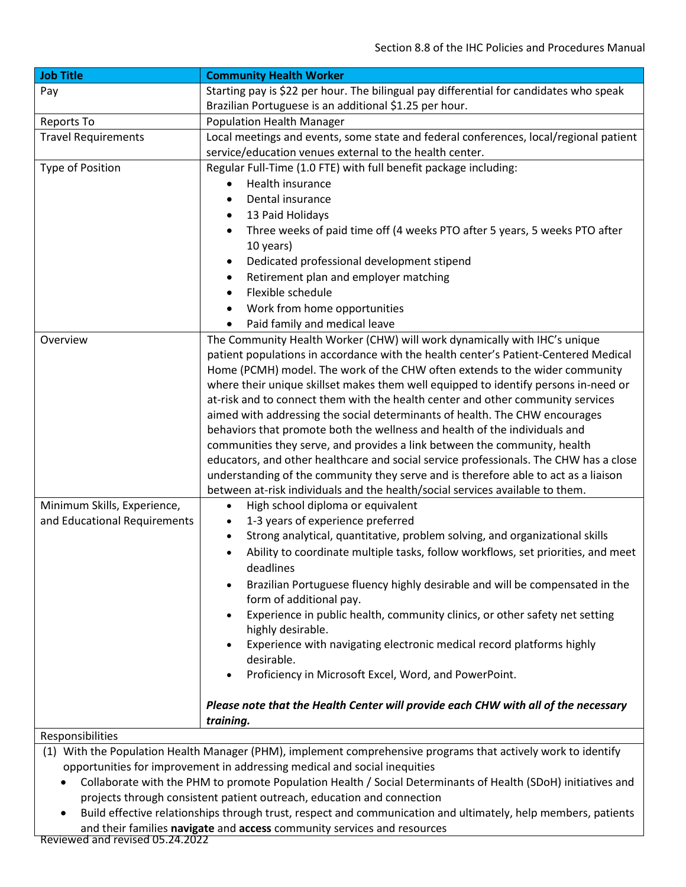| <b>Job Title</b>                                                                                                                                                                           | <b>Community Health Worker</b>                                                           |
|--------------------------------------------------------------------------------------------------------------------------------------------------------------------------------------------|------------------------------------------------------------------------------------------|
| Pay                                                                                                                                                                                        | Starting pay is \$22 per hour. The bilingual pay differential for candidates who speak   |
|                                                                                                                                                                                            | Brazilian Portuguese is an additional \$1.25 per hour.                                   |
| Reports To                                                                                                                                                                                 | <b>Population Health Manager</b>                                                         |
| <b>Travel Requirements</b>                                                                                                                                                                 | Local meetings and events, some state and federal conferences, local/regional patient    |
|                                                                                                                                                                                            | service/education venues external to the health center.                                  |
| Type of Position                                                                                                                                                                           | Regular Full-Time (1.0 FTE) with full benefit package including:                         |
|                                                                                                                                                                                            | Health insurance                                                                         |
|                                                                                                                                                                                            | Dental insurance<br>$\bullet$                                                            |
|                                                                                                                                                                                            | 13 Paid Holidays<br>٠                                                                    |
|                                                                                                                                                                                            | Three weeks of paid time off (4 weeks PTO after 5 years, 5 weeks PTO after               |
|                                                                                                                                                                                            | 10 years)                                                                                |
|                                                                                                                                                                                            | Dedicated professional development stipend                                               |
|                                                                                                                                                                                            | Retirement plan and employer matching                                                    |
|                                                                                                                                                                                            | Flexible schedule<br>$\bullet$                                                           |
|                                                                                                                                                                                            | Work from home opportunities                                                             |
|                                                                                                                                                                                            | Paid family and medical leave                                                            |
| Overview                                                                                                                                                                                   | The Community Health Worker (CHW) will work dynamically with IHC's unique                |
|                                                                                                                                                                                            | patient populations in accordance with the health center's Patient-Centered Medical      |
|                                                                                                                                                                                            | Home (PCMH) model. The work of the CHW often extends to the wider community              |
|                                                                                                                                                                                            | where their unique skillset makes them well equipped to identify persons in-need or      |
|                                                                                                                                                                                            | at-risk and to connect them with the health center and other community services          |
|                                                                                                                                                                                            | aimed with addressing the social determinants of health. The CHW encourages              |
|                                                                                                                                                                                            | behaviors that promote both the wellness and health of the individuals and               |
|                                                                                                                                                                                            | communities they serve, and provides a link between the community, health                |
|                                                                                                                                                                                            | educators, and other healthcare and social service professionals. The CHW has a close    |
|                                                                                                                                                                                            | understanding of the community they serve and is therefore able to act as a liaison      |
|                                                                                                                                                                                            | between at-risk individuals and the health/social services available to them.            |
| Minimum Skills, Experience,                                                                                                                                                                | High school diploma or equivalent<br>$\bullet$                                           |
| and Educational Requirements                                                                                                                                                               | 1-3 years of experience preferred<br>$\bullet$                                           |
|                                                                                                                                                                                            | Strong analytical, quantitative, problem solving, and organizational skills<br>$\bullet$ |
|                                                                                                                                                                                            | Ability to coordinate multiple tasks, follow workflows, set priorities, and meet         |
|                                                                                                                                                                                            | deadlines                                                                                |
|                                                                                                                                                                                            | Brazilian Portuguese fluency highly desirable and will be compensated in the             |
|                                                                                                                                                                                            | form of additional pay.                                                                  |
|                                                                                                                                                                                            | Experience in public health, community clinics, or other safety net setting              |
|                                                                                                                                                                                            | highly desirable.                                                                        |
|                                                                                                                                                                                            | Experience with navigating electronic medical record platforms highly                    |
|                                                                                                                                                                                            | desirable.                                                                               |
|                                                                                                                                                                                            | Proficiency in Microsoft Excel, Word, and PowerPoint.                                    |
|                                                                                                                                                                                            |                                                                                          |
|                                                                                                                                                                                            | Please note that the Health Center will provide each CHW with all of the necessary       |
|                                                                                                                                                                                            | training.                                                                                |
| Responsibilities                                                                                                                                                                           |                                                                                          |
| (1) With the Population Health Manager (PHM), implement comprehensive programs that actively work to identify<br>opportunities for improvement in addressing medical and social inequities |                                                                                          |

- Collaborate with the PHM to promote Population Health / Social Determinants of Health (SDoH) initiatives and projects through consistent patient outreach, education and connection
- Build effective relationships through trust, respect and communication and ultimately, help members, patients and their families **navigate** and **access** community services and resources

Reviewed and revised 05.24.2022